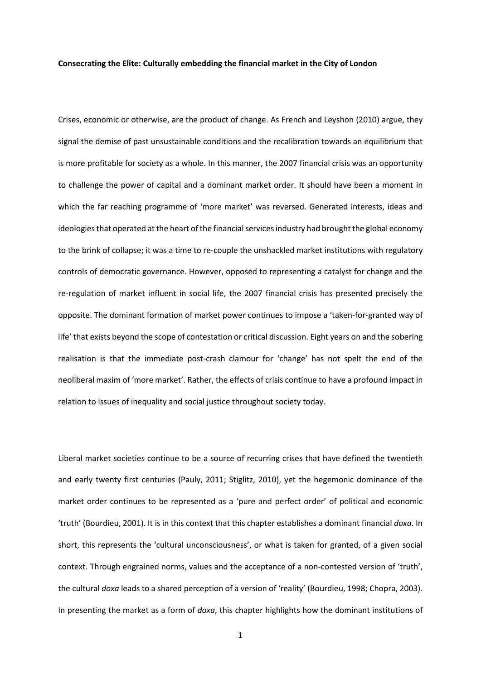### **Consecrating the Elite: Culturally embedding the financial market in the City of London**

Crises, economic or otherwise, are the product of change. As French and Leyshon (2010) argue, they signal the demise of past unsustainable conditions and the recalibration towards an equilibrium that is more profitable for society as a whole. In this manner, the 2007 financial crisis was an opportunity to challenge the power of capital and a dominant market order. It should have been a moment in which the far reaching programme of 'more market' was reversed. Generated interests, ideas and ideologies that operated at the heart of the financial services industry had brought the global economy to the brink of collapse; it was a time to re-couple the unshackled market institutions with regulatory controls of democratic governance. However, opposed to representing a catalyst for change and the re-regulation of market influent in social life, the 2007 financial crisis has presented precisely the opposite. The dominant formation of market power continues to impose a 'taken-for-granted way of life' that exists beyond the scope of contestation or critical discussion. Eight years on and the sobering realisation is that the immediate post-crash clamour for 'change' has not spelt the end of the neoliberal maxim of 'more market'. Rather, the effects of crisis continue to have a profound impact in relation to issues of inequality and social justice throughout society today.

Liberal market societies continue to be a source of recurring crises that have defined the twentieth and early twenty first centuries (Pauly, 2011; Stiglitz, 2010), yet the hegemonic dominance of the market order continues to be represented as a 'pure and perfect order' of political and economic 'truth' (Bourdieu, 2001). It is in this context that this chapter establishes a dominant financial *doxa*. In short, this represents the 'cultural unconsciousness', or what is taken for granted, of a given social context. Through engrained norms, values and the acceptance of a non-contested version of 'truth', the cultural *doxa* leads to a shared perception of a version of 'reality' (Bourdieu, 1998; Chopra, 2003). In presenting the market as a form of *doxa*, this chapter highlights how the dominant institutions of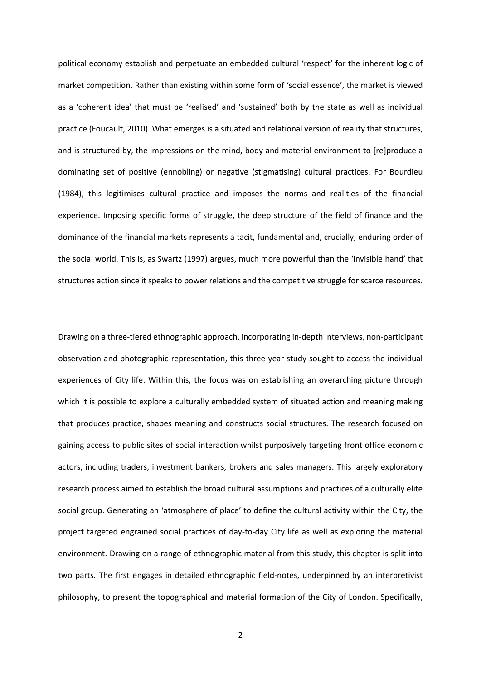political economy establish and perpetuate an embedded cultural 'respect' for the inherent logic of market competition. Rather than existing within some form of 'social essence', the market is viewed as a 'coherent idea' that must be 'realised' and 'sustained' both by the state as well as individual practice (Foucault, 2010). What emerges is a situated and relational version of reality that structures, and is structured by, the impressions on the mind, body and material environment to [re]produce a dominating set of positive (ennobling) or negative (stigmatising) cultural practices. For Bourdieu (1984), this legitimises cultural practice and imposes the norms and realities of the financial experience. Imposing specific forms of struggle, the deep structure of the field of finance and the dominance of the financial markets represents a tacit, fundamental and, crucially, enduring order of the social world. This is, as Swartz (1997) argues, much more powerful than the 'invisible hand' that structures action since it speaks to power relations and the competitive struggle for scarce resources.

Drawing on a three-tiered ethnographic approach, incorporating in-depth interviews, non-participant observation and photographic representation, this three-year study sought to access the individual experiences of City life. Within this, the focus was on establishing an overarching picture through which it is possible to explore a culturally embedded system of situated action and meaning making that produces practice, shapes meaning and constructs social structures. The research focused on gaining access to public sites of social interaction whilst purposively targeting front office economic actors, including traders, investment bankers, brokers and sales managers. This largely exploratory research process aimed to establish the broad cultural assumptions and practices of a culturally elite social group. Generating an 'atmosphere of place' to define the cultural activity within the City, the project targeted engrained social practices of day-to-day City life as well as exploring the material environment. Drawing on a range of ethnographic material from this study, this chapter is split into two parts. The first engages in detailed ethnographic field-notes, underpinned by an interpretivist philosophy, to present the topographical and material formation of the City of London. Specifically,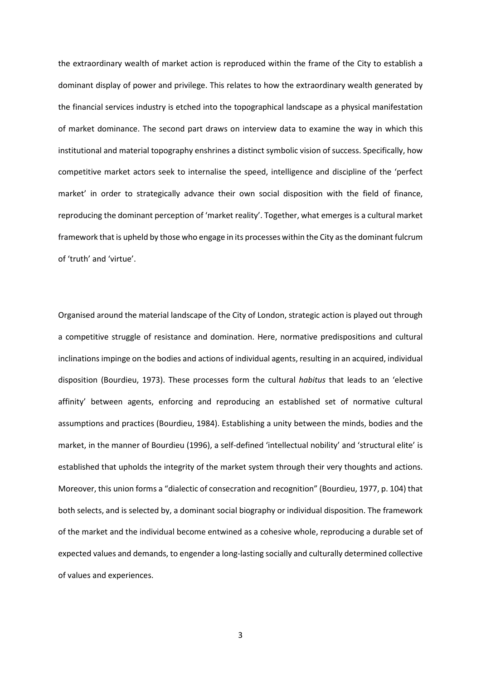the extraordinary wealth of market action is reproduced within the frame of the City to establish a dominant display of power and privilege. This relates to how the extraordinary wealth generated by the financial services industry is etched into the topographical landscape as a physical manifestation of market dominance. The second part draws on interview data to examine the way in which this institutional and material topography enshrines a distinct symbolic vision of success. Specifically, how competitive market actors seek to internalise the speed, intelligence and discipline of the 'perfect market' in order to strategically advance their own social disposition with the field of finance, reproducing the dominant perception of 'market reality'. Together, what emerges is a cultural market framework that is upheld by those who engage in its processes within the City as the dominant fulcrum of 'truth' and 'virtue'.

Organised around the material landscape of the City of London, strategic action is played out through a competitive struggle of resistance and domination. Here, normative predispositions and cultural inclinations impinge on the bodies and actions of individual agents, resulting in an acquired, individual disposition (Bourdieu, 1973). These processes form the cultural *habitus* that leads to an 'elective affinity' between agents, enforcing and reproducing an established set of normative cultural assumptions and practices (Bourdieu, 1984). Establishing a unity between the minds, bodies and the market, in the manner of Bourdieu (1996), a self-defined 'intellectual nobility' and 'structural elite' is established that upholds the integrity of the market system through their very thoughts and actions. Moreover, this union forms a "dialectic of consecration and recognition" (Bourdieu, 1977, p. 104) that both selects, and is selected by, a dominant social biography or individual disposition. The framework of the market and the individual become entwined as a cohesive whole, reproducing a durable set of expected values and demands, to engender a long-lasting socially and culturally determined collective of values and experiences.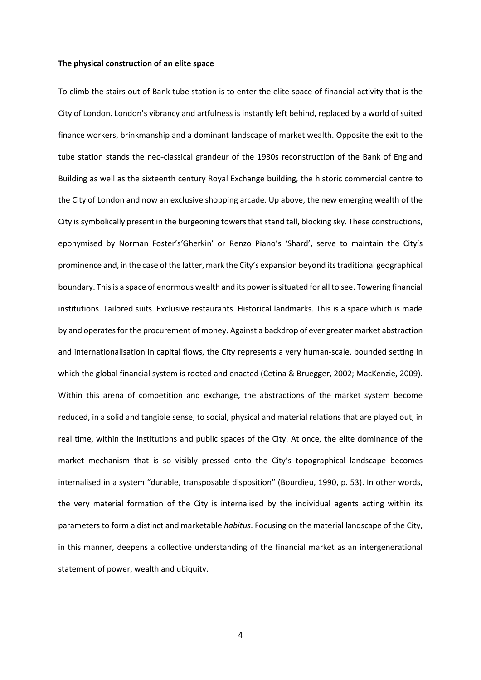### **The physical construction of an elite space**

To climb the stairs out of Bank tube station is to enter the elite space of financial activity that is the City of London. London's vibrancy and artfulness is instantly left behind, replaced by a world of suited finance workers, brinkmanship and a dominant landscape of market wealth. Opposite the exit to the tube station stands the neo-classical grandeur of the 1930s reconstruction of the Bank of England Building as well as the sixteenth century Royal Exchange building, the historic commercial centre to the City of London and now an exclusive shopping arcade. Up above, the new emerging wealth of the City is symbolically present in the burgeoning towers that stand tall, blocking sky. These constructions, eponymised by Norman Foster's'Gherkin' or Renzo Piano's 'Shard', serve to maintain the City's prominence and, in the case of the latter, mark the City's expansion beyond its traditional geographical boundary. This is a space of enormous wealth and its power is situated for all to see. Towering financial institutions. Tailored suits. Exclusive restaurants. Historical landmarks. This is a space which is made by and operates for the procurement of money. Against a backdrop of ever greater market abstraction and internationalisation in capital flows, the City represents a very human-scale, bounded setting in which the global financial system is rooted and enacted (Cetina & Bruegger, 2002; MacKenzie, 2009). Within this arena of competition and exchange, the abstractions of the market system become reduced, in a solid and tangible sense, to social, physical and material relations that are played out, in real time, within the institutions and public spaces of the City. At once, the elite dominance of the market mechanism that is so visibly pressed onto the City's topographical landscape becomes internalised in a system "durable, transposable disposition" (Bourdieu, 1990, p. 53). In other words, the very material formation of the City is internalised by the individual agents acting within its parameters to form a distinct and marketable *habitus*. Focusing on the material landscape of the City, in this manner, deepens a collective understanding of the financial market as an intergenerational statement of power, wealth and ubiquity.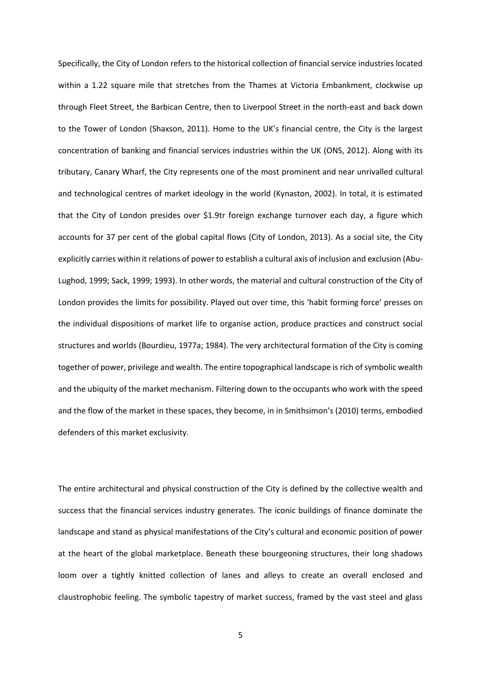Specifically, the City of London refers to the historical collection of financial service industries located within a 1.22 square mile that stretches from the Thames at Victoria Embankment, clockwise up through Fleet Street, the Barbican Centre, then to Liverpool Street in the north-east and back down to the Tower of London (Shaxson, 2011). Home to the UK's financial centre, the City is the largest concentration of banking and financial services industries within the UK (ONS, 2012). Along with its tributary, Canary Wharf, the City represents one of the most prominent and near unrivalled cultural and technological centres of market ideology in the world (Kynaston, 2002). In total, it is estimated that the City of London presides over \$1.9tr foreign exchange turnover each day, a figure which accounts for 37 per cent of the global capital flows (City of London, 2013). As a social site, the City explicitly carries within it relations of power to establish a cultural axis of inclusion and exclusion (Abu-Lughod, 1999; Sack, 1999; 1993). In other words, the material and cultural construction of the City of London provides the limits for possibility. Played out over time, this 'habit forming force' presses on the individual dispositions of market life to organise action, produce practices and construct social structures and worlds (Bourdieu, 1977a; 1984). The very architectural formation of the City is coming together of power, privilege and wealth. The entire topographical landscape is rich of symbolic wealth and the ubiquity of the market mechanism. Filtering down to the occupants who work with the speed and the flow of the market in these spaces, they become, in in Smithsimon's (2010) terms, embodied defenders of this market exclusivity.

The entire architectural and physical construction of the City is defined by the collective wealth and success that the financial services industry generates. The iconic buildings of finance dominate the landscape and stand as physical manifestations of the City's cultural and economic position of power at the heart of the global marketplace. Beneath these bourgeoning structures, their long shadows loom over a tightly knitted collection of lanes and alleys to create an overall enclosed and claustrophobic feeling. The symbolic tapestry of market success, framed by the vast steel and glass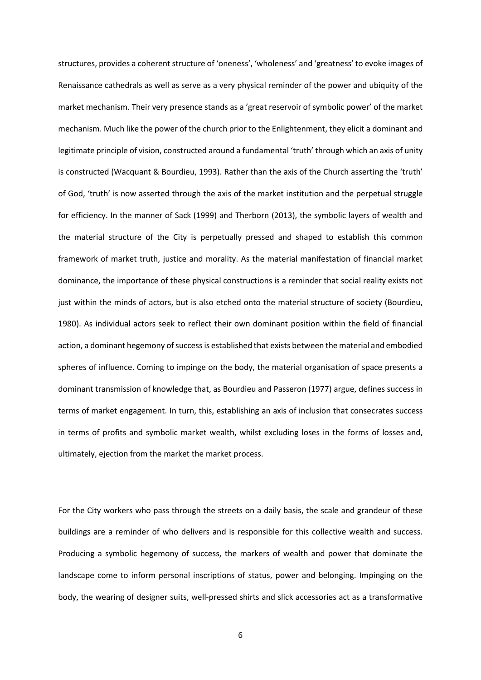structures, provides a coherent structure of 'oneness', 'wholeness' and 'greatness' to evoke images of Renaissance cathedrals as well as serve as a very physical reminder of the power and ubiquity of the market mechanism. Their very presence stands as a 'great reservoir of symbolic power' of the market mechanism. Much like the power of the church prior to the Enlightenment, they elicit a dominant and legitimate principle of vision, constructed around a fundamental 'truth' through which an axis of unity is constructed (Wacquant & Bourdieu, 1993). Rather than the axis of the Church asserting the 'truth' of God, 'truth' is now asserted through the axis of the market institution and the perpetual struggle for efficiency. In the manner of Sack (1999) and Therborn (2013), the symbolic layers of wealth and the material structure of the City is perpetually pressed and shaped to establish this common framework of market truth, justice and morality. As the material manifestation of financial market dominance, the importance of these physical constructions is a reminder that social reality exists not just within the minds of actors, but is also etched onto the material structure of society (Bourdieu, 1980). As individual actors seek to reflect their own dominant position within the field of financial action, a dominant hegemony of success is established that exists between the material and embodied spheres of influence. Coming to impinge on the body, the material organisation of space presents a dominant transmission of knowledge that, as Bourdieu and Passeron (1977) argue, defines success in terms of market engagement. In turn, this, establishing an axis of inclusion that consecrates success in terms of profits and symbolic market wealth, whilst excluding loses in the forms of losses and, ultimately, ejection from the market the market process.

For the City workers who pass through the streets on a daily basis, the scale and grandeur of these buildings are a reminder of who delivers and is responsible for this collective wealth and success. Producing a symbolic hegemony of success, the markers of wealth and power that dominate the landscape come to inform personal inscriptions of status, power and belonging. Impinging on the body, the wearing of designer suits, well-pressed shirts and slick accessories act as a transformative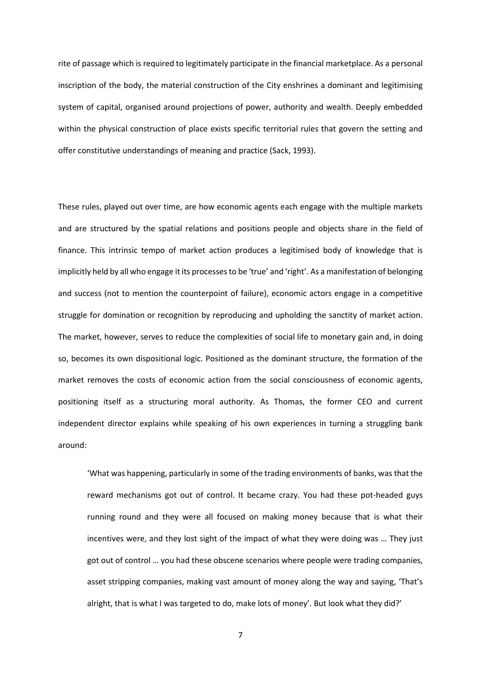rite of passage which is required to legitimately participate in the financial marketplace. As a personal inscription of the body, the material construction of the City enshrines a dominant and legitimising system of capital, organised around projections of power, authority and wealth. Deeply embedded within the physical construction of place exists specific territorial rules that govern the setting and offer constitutive understandings of meaning and practice (Sack, 1993).

These rules, played out over time, are how economic agents each engage with the multiple markets and are structured by the spatial relations and positions people and objects share in the field of finance. This intrinsic tempo of market action produces a legitimised body of knowledge that is implicitly held by all who engage it its processes to be 'true' and 'right'. As a manifestation of belonging and success (not to mention the counterpoint of failure), economic actors engage in a competitive struggle for domination or recognition by reproducing and upholding the sanctity of market action. The market, however, serves to reduce the complexities of social life to monetary gain and, in doing so, becomes its own dispositional logic. Positioned as the dominant structure, the formation of the market removes the costs of economic action from the social consciousness of economic agents, positioning itself as a structuring moral authority. As Thomas, the former CEO and current independent director explains while speaking of his own experiences in turning a struggling bank around:

'What was happening, particularly in some of the trading environments of banks, was that the reward mechanisms got out of control. It became crazy. You had these pot-headed guys running round and they were all focused on making money because that is what their incentives were, and they lost sight of the impact of what they were doing was … They just got out of control … you had these obscene scenarios where people were trading companies, asset stripping companies, making vast amount of money along the way and saying, 'That's alright, that is what I was targeted to do, make lots of money'. But look what they did?'

7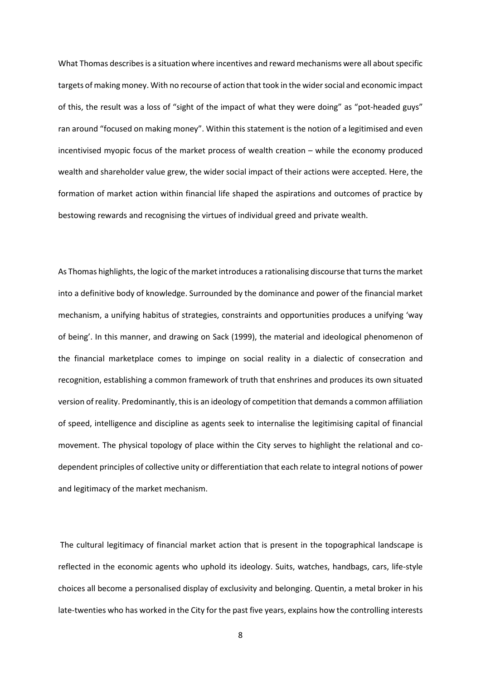What Thomas describes is a situation where incentives and reward mechanisms were all about specific targets of making money. With no recourse of action that took in the wider social and economic impact of this, the result was a loss of "sight of the impact of what they were doing" as "pot-headed guys" ran around "focused on making money". Within this statement is the notion of a legitimised and even incentivised myopic focus of the market process of wealth creation – while the economy produced wealth and shareholder value grew, the wider social impact of their actions were accepted. Here, the formation of market action within financial life shaped the aspirations and outcomes of practice by bestowing rewards and recognising the virtues of individual greed and private wealth.

As Thomas highlights, the logic of the market introduces a rationalising discourse that turns the market into a definitive body of knowledge. Surrounded by the dominance and power of the financial market mechanism, a unifying habitus of strategies, constraints and opportunities produces a unifying 'way of being'. In this manner, and drawing on Sack (1999), the material and ideological phenomenon of the financial marketplace comes to impinge on social reality in a dialectic of consecration and recognition, establishing a common framework of truth that enshrines and produces its own situated version of reality. Predominantly, this is an ideology of competition that demands a common affiliation of speed, intelligence and discipline as agents seek to internalise the legitimising capital of financial movement. The physical topology of place within the City serves to highlight the relational and codependent principles of collective unity or differentiation that each relate to integral notions of power and legitimacy of the market mechanism.

The cultural legitimacy of financial market action that is present in the topographical landscape is reflected in the economic agents who uphold its ideology. Suits, watches, handbags, cars, life-style choices all become a personalised display of exclusivity and belonging. Quentin, a metal broker in his late-twenties who has worked in the City for the past five years, explains how the controlling interests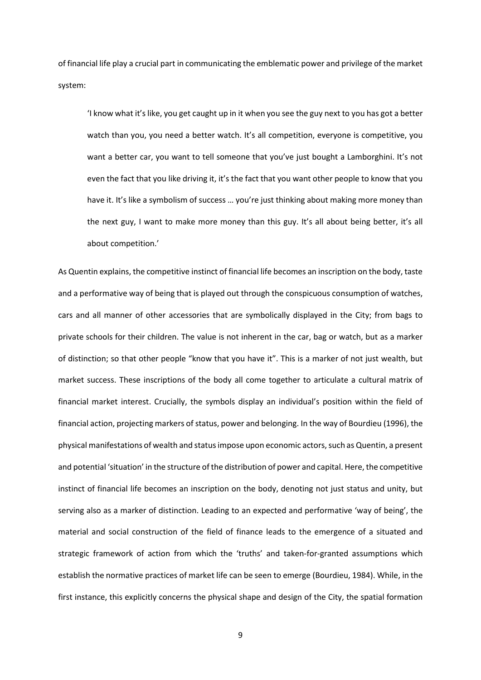of financial life play a crucial part in communicating the emblematic power and privilege of the market system:

'I know what it's like, you get caught up in it when you see the guy next to you has got a better watch than you, you need a better watch. It's all competition, everyone is competitive, you want a better car, you want to tell someone that you've just bought a Lamborghini. It's not even the fact that you like driving it, it's the fact that you want other people to know that you have it. It's like a symbolism of success ... you're just thinking about making more money than the next guy, I want to make more money than this guy. It's all about being better, it's all about competition.'

As Quentin explains, the competitive instinct of financial life becomes an inscription on the body, taste and a performative way of being that is played out through the conspicuous consumption of watches, cars and all manner of other accessories that are symbolically displayed in the City; from bags to private schools for their children. The value is not inherent in the car, bag or watch, but as a marker of distinction; so that other people "know that you have it". This is a marker of not just wealth, but market success. These inscriptions of the body all come together to articulate a cultural matrix of financial market interest. Crucially, the symbols display an individual's position within the field of financial action, projecting markers of status, power and belonging. In the way of Bourdieu (1996), the physical manifestations of wealth and status impose upon economic actors, such as Quentin, a present and potential 'situation' in the structure of the distribution of power and capital. Here, the competitive instinct of financial life becomes an inscription on the body, denoting not just status and unity, but serving also as a marker of distinction. Leading to an expected and performative 'way of being', the material and social construction of the field of finance leads to the emergence of a situated and strategic framework of action from which the 'truths' and taken-for-granted assumptions which establish the normative practices of market life can be seen to emerge (Bourdieu, 1984). While, in the first instance, this explicitly concerns the physical shape and design of the City, the spatial formation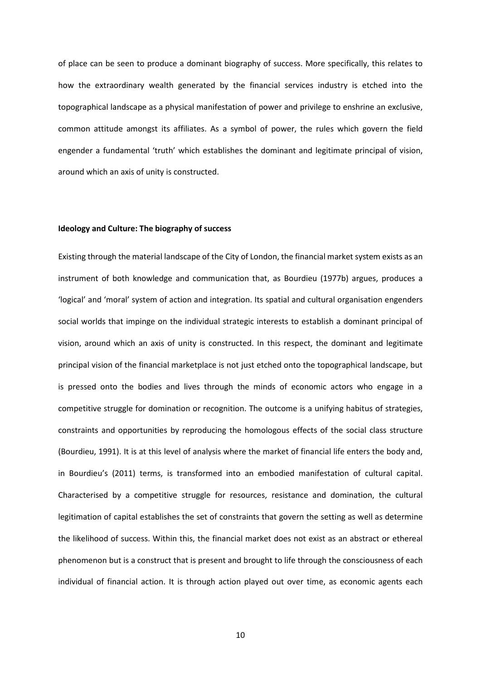of place can be seen to produce a dominant biography of success. More specifically, this relates to how the extraordinary wealth generated by the financial services industry is etched into the topographical landscape as a physical manifestation of power and privilege to enshrine an exclusive, common attitude amongst its affiliates. As a symbol of power, the rules which govern the field engender a fundamental 'truth' which establishes the dominant and legitimate principal of vision, around which an axis of unity is constructed.

# **Ideology and Culture: The biography of success**

Existing through the material landscape of the City of London, the financial market system exists as an instrument of both knowledge and communication that, as Bourdieu (1977b) argues, produces a 'logical' and 'moral' system of action and integration. Its spatial and cultural organisation engenders social worlds that impinge on the individual strategic interests to establish a dominant principal of vision, around which an axis of unity is constructed. In this respect, the dominant and legitimate principal vision of the financial marketplace is not just etched onto the topographical landscape, but is pressed onto the bodies and lives through the minds of economic actors who engage in a competitive struggle for domination or recognition. The outcome is a unifying habitus of strategies, constraints and opportunities by reproducing the homologous effects of the social class structure (Bourdieu, 1991). It is at this level of analysis where the market of financial life enters the body and, in Bourdieu's (2011) terms, is transformed into an embodied manifestation of cultural capital. Characterised by a competitive struggle for resources, resistance and domination, the cultural legitimation of capital establishes the set of constraints that govern the setting as well as determine the likelihood of success. Within this, the financial market does not exist as an abstract or ethereal phenomenon but is a construct that is present and brought to life through the consciousness of each individual of financial action. It is through action played out over time, as economic agents each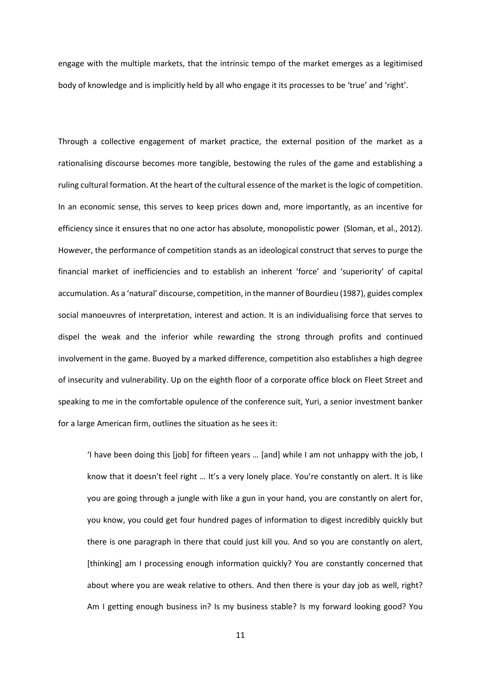engage with the multiple markets, that the intrinsic tempo of the market emerges as a legitimised body of knowledge and is implicitly held by all who engage it its processes to be 'true' and 'right'.

Through a collective engagement of market practice, the external position of the market as a rationalising discourse becomes more tangible, bestowing the rules of the game and establishing a ruling cultural formation. At the heart of the cultural essence of the market is the logic of competition. In an economic sense, this serves to keep prices down and, more importantly, as an incentive for efficiency since it ensures that no one actor has absolute, monopolistic power (Sloman, et al., 2012). However, the performance of competition stands as an ideological construct that serves to purge the financial market of inefficiencies and to establish an inherent 'force' and 'superiority' of capital accumulation. As a 'natural' discourse, competition, in the manner of Bourdieu (1987), guides complex social manoeuvres of interpretation, interest and action. It is an individualising force that serves to dispel the weak and the inferior while rewarding the strong through profits and continued involvement in the game. Buoyed by a marked difference, competition also establishes a high degree of insecurity and vulnerability. Up on the eighth floor of a corporate office block on Fleet Street and speaking to me in the comfortable opulence of the conference suit, Yuri, a senior investment banker for a large American firm, outlines the situation as he sees it:

'I have been doing this [job] for fifteen years … [and] while I am not unhappy with the job, I know that it doesn't feel right … It's a very lonely place. You're constantly on alert. It is like you are going through a jungle with like a gun in your hand, you are constantly on alert for, you know, you could get four hundred pages of information to digest incredibly quickly but there is one paragraph in there that could just kill you. And so you are constantly on alert, [thinking] am I processing enough information quickly? You are constantly concerned that about where you are weak relative to others. And then there is your day job as well, right? Am I getting enough business in? Is my business stable? Is my forward looking good? You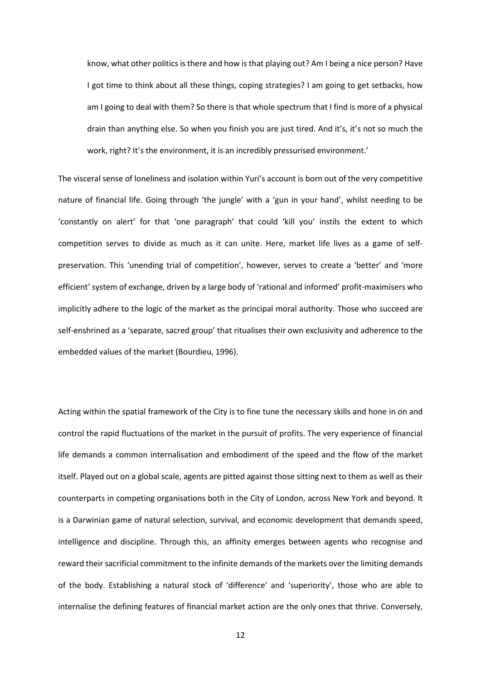know, what other politics is there and how is that playing out? Am I being a nice person? Have I got time to think about all these things, coping strategies? I am going to get setbacks, how am I going to deal with them? So there is that whole spectrum that I find is more of a physical drain than anything else. So when you finish you are just tired. And it's, it's not so much the work, right? It's the environment, it is an incredibly pressurised environment.'

The visceral sense of loneliness and isolation within Yuri's account is born out of the very competitive nature of financial life. Going through 'the jungle' with a 'gun in your hand', whilst needing to be 'constantly on alert' for that 'one paragraph' that could 'kill you' instils the extent to which competition serves to divide as much as it can unite. Here, market life lives as a game of selfpreservation. This 'unending trial of competition', however, serves to create a 'better' and 'more efficient' system of exchange, driven by a large body of 'rational and informed' profit-maximisers who implicitly adhere to the logic of the market as the principal moral authority. Those who succeed are self-enshrined as a 'separate, sacred group' that ritualises their own exclusivity and adherence to the embedded values of the market (Bourdieu, 1996).

Acting within the spatial framework of the City is to fine tune the necessary skills and hone in on and control the rapid fluctuations of the market in the pursuit of profits. The very experience of financial life demands a common internalisation and embodiment of the speed and the flow of the market itself. Played out on a global scale, agents are pitted against those sitting next to them as well as their counterparts in competing organisations both in the City of London, across New York and beyond. It is a Darwinian game of natural selection, survival, and economic development that demands speed, intelligence and discipline. Through this, an affinity emerges between agents who recognise and reward their sacrificial commitment to the infinite demands of the markets over the limiting demands of the body. Establishing a natural stock of 'difference' and 'superiority', those who are able to internalise the defining features of financial market action are the only ones that thrive. Conversely,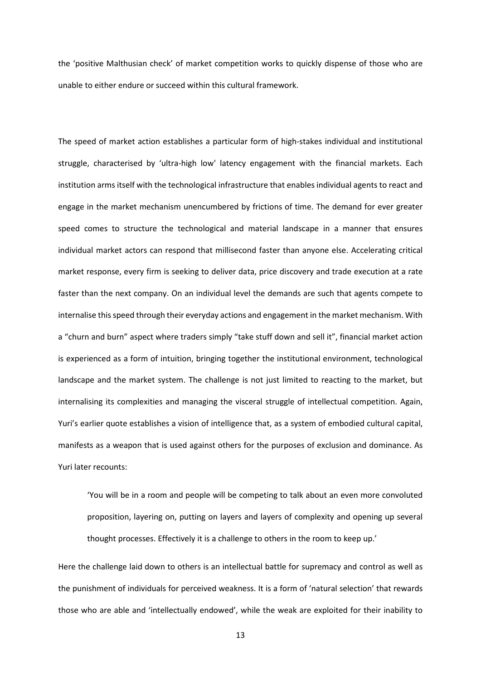the 'positive Malthusian check' of market competition works to quickly dispense of those who are unable to either endure or succeed within this cultural framework.

The speed of market action establishes a particular form of high-stakes individual and institutional struggle, characterised by 'ultra-high low' latency engagement with the financial markets. Each institution arms itself with the technological infrastructure that enables individual agents to react and engage in the market mechanism unencumbered by frictions of time. The demand for ever greater speed comes to structure the technological and material landscape in a manner that ensures individual market actors can respond that millisecond faster than anyone else. Accelerating critical market response, every firm is seeking to deliver data, price discovery and trade execution at a rate faster than the next company. On an individual level the demands are such that agents compete to internalise this speed through their everyday actions and engagement in the market mechanism. With a "churn and burn" aspect where traders simply "take stuff down and sell it", financial market action is experienced as a form of intuition, bringing together the institutional environment, technological landscape and the market system. The challenge is not just limited to reacting to the market, but internalising its complexities and managing the visceral struggle of intellectual competition. Again, Yuri's earlier quote establishes a vision of intelligence that, as a system of embodied cultural capital, manifests as a weapon that is used against others for the purposes of exclusion and dominance. As Yuri later recounts:

'You will be in a room and people will be competing to talk about an even more convoluted proposition, layering on, putting on layers and layers of complexity and opening up several thought processes. Effectively it is a challenge to others in the room to keep up.'

Here the challenge laid down to others is an intellectual battle for supremacy and control as well as the punishment of individuals for perceived weakness. It is a form of 'natural selection' that rewards those who are able and 'intellectually endowed', while the weak are exploited for their inability to

13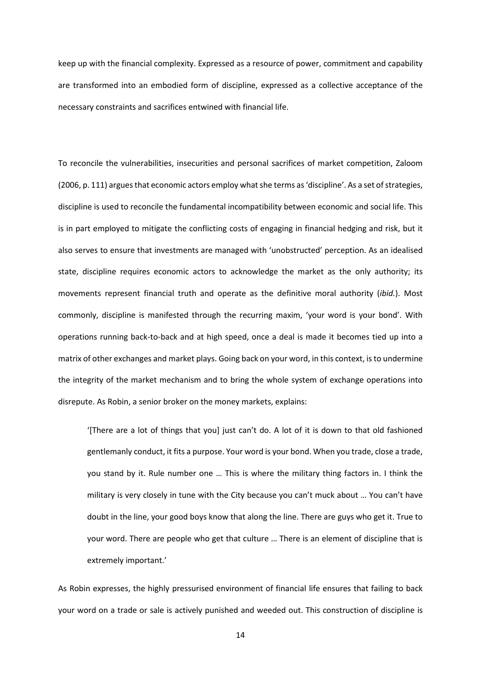keep up with the financial complexity. Expressed as a resource of power, commitment and capability are transformed into an embodied form of discipline, expressed as a collective acceptance of the necessary constraints and sacrifices entwined with financial life.

To reconcile the vulnerabilities, insecurities and personal sacrifices of market competition, Zaloom (2006, p. 111) argues that economic actors employ what she terms as 'discipline'. As a set of strategies, discipline is used to reconcile the fundamental incompatibility between economic and social life. This is in part employed to mitigate the conflicting costs of engaging in financial hedging and risk, but it also serves to ensure that investments are managed with 'unobstructed' perception. As an idealised state, discipline requires economic actors to acknowledge the market as the only authority; its movements represent financial truth and operate as the definitive moral authority (*ibid.*). Most commonly, discipline is manifested through the recurring maxim, 'your word is your bond'. With operations running back-to-back and at high speed, once a deal is made it becomes tied up into a matrix of other exchanges and market plays. Going back on your word, in this context, is to undermine the integrity of the market mechanism and to bring the whole system of exchange operations into disrepute. As Robin, a senior broker on the money markets, explains:

'[There are a lot of things that you] just can't do. A lot of it is down to that old fashioned gentlemanly conduct, it fits a purpose. Your word is your bond. When you trade, close a trade, you stand by it. Rule number one … This is where the military thing factors in. I think the military is very closely in tune with the City because you can't muck about … You can't have doubt in the line, your good boys know that along the line. There are guys who get it. True to your word. There are people who get that culture … There is an element of discipline that is extremely important.'

As Robin expresses, the highly pressurised environment of financial life ensures that failing to back your word on a trade or sale is actively punished and weeded out. This construction of discipline is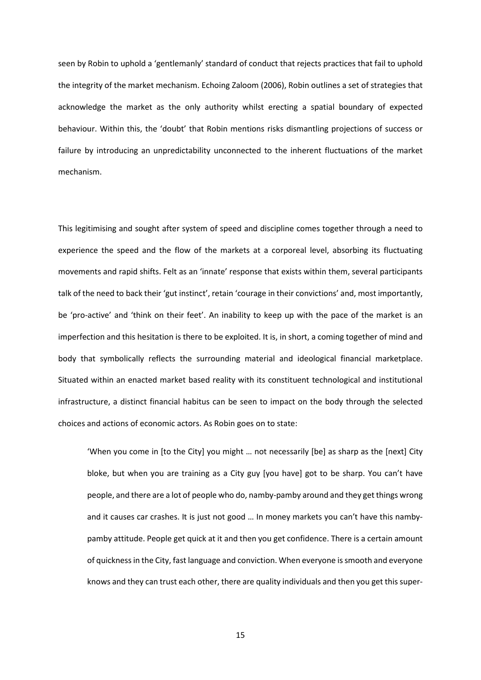seen by Robin to uphold a 'gentlemanly' standard of conduct that rejects practices that fail to uphold the integrity of the market mechanism. Echoing Zaloom (2006), Robin outlines a set of strategies that acknowledge the market as the only authority whilst erecting a spatial boundary of expected behaviour. Within this, the 'doubt' that Robin mentions risks dismantling projections of success or failure by introducing an unpredictability unconnected to the inherent fluctuations of the market mechanism.

This legitimising and sought after system of speed and discipline comes together through a need to experience the speed and the flow of the markets at a corporeal level, absorbing its fluctuating movements and rapid shifts. Felt as an 'innate' response that exists within them, several participants talk of the need to back their 'gut instinct', retain 'courage in their convictions' and, most importantly, be 'pro-active' and 'think on their feet'. An inability to keep up with the pace of the market is an imperfection and this hesitation is there to be exploited. It is, in short, a coming together of mind and body that symbolically reflects the surrounding material and ideological financial marketplace. Situated within an enacted market based reality with its constituent technological and institutional infrastructure, a distinct financial habitus can be seen to impact on the body through the selected choices and actions of economic actors. As Robin goes on to state:

'When you come in [to the City] you might … not necessarily [be] as sharp as the [next] City bloke, but when you are training as a City guy [you have] got to be sharp. You can't have people, and there are a lot of people who do, namby-pamby around and they get things wrong and it causes car crashes. It is just not good … In money markets you can't have this nambypamby attitude. People get quick at it and then you get confidence. There is a certain amount of quickness in the City, fast language and conviction. When everyone is smooth and everyone knows and they can trust each other, there are quality individuals and then you get this super-

15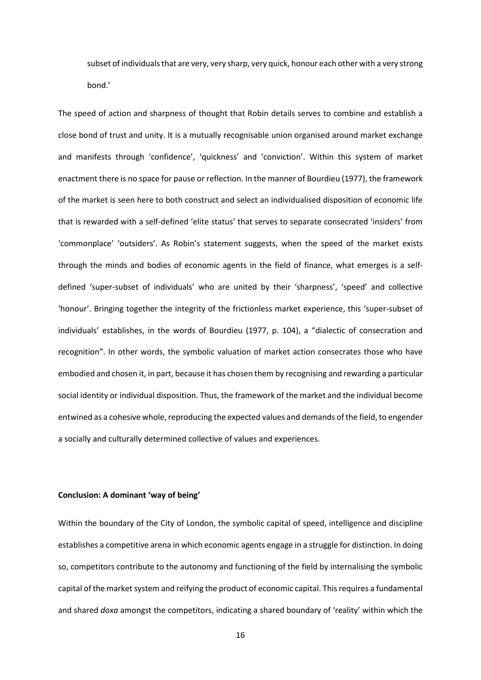subset of individuals that are very, very sharp, very quick, honour each other with a very strong bond.'

The speed of action and sharpness of thought that Robin details serves to combine and establish a close bond of trust and unity. It is a mutually recognisable union organised around market exchange and manifests through 'confidence', 'quickness' and 'conviction'. Within this system of market enactment there is no space for pause or reflection. In the manner of Bourdieu (1977), the framework of the market is seen here to both construct and select an individualised disposition of economic life that is rewarded with a self-defined 'elite status' that serves to separate consecrated 'insiders' from 'commonplace' 'outsiders'. As Robin's statement suggests, when the speed of the market exists through the minds and bodies of economic agents in the field of finance, what emerges is a selfdefined 'super-subset of individuals' who are united by their 'sharpness', 'speed' and collective 'honour'. Bringing together the integrity of the frictionless market experience, this 'super-subset of individuals' establishes, in the words of Bourdieu (1977, p. 104), a "dialectic of consecration and recognition". In other words, the symbolic valuation of market action consecrates those who have embodied and chosen it, in part, because it has chosen them by recognising and rewarding a particular social identity or individual disposition. Thus, the framework of the market and the individual become entwined as a cohesive whole, reproducing the expected values and demands of the field, to engender a socially and culturally determined collective of values and experiences.

## **Conclusion: A dominant 'way of being'**

Within the boundary of the City of London, the symbolic capital of speed, intelligence and discipline establishes a competitive arena in which economic agents engage in a struggle for distinction. In doing so, competitors contribute to the autonomy and functioning of the field by internalising the symbolic capital of the market system and reifying the product of economic capital. This requires a fundamental and shared *doxa* amongst the competitors, indicating a shared boundary of 'reality' within which the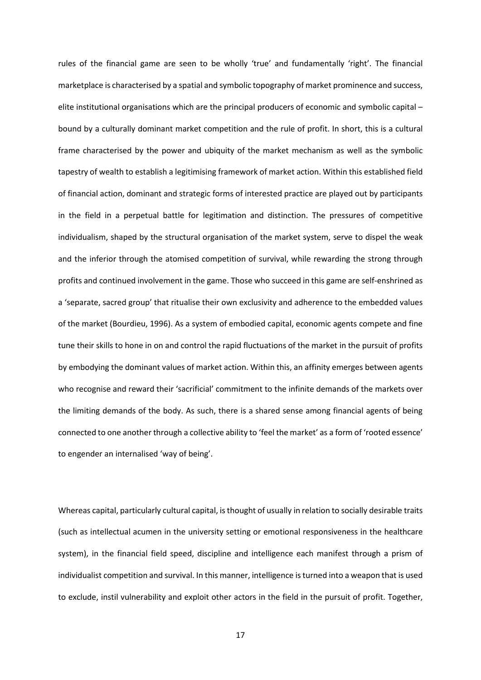rules of the financial game are seen to be wholly 'true' and fundamentally 'right'. The financial marketplace is characterised by a spatial and symbolic topography of market prominence and success, elite institutional organisations which are the principal producers of economic and symbolic capital – bound by a culturally dominant market competition and the rule of profit. In short, this is a cultural frame characterised by the power and ubiquity of the market mechanism as well as the symbolic tapestry of wealth to establish a legitimising framework of market action. Within this established field of financial action, dominant and strategic forms of interested practice are played out by participants in the field in a perpetual battle for legitimation and distinction. The pressures of competitive individualism, shaped by the structural organisation of the market system, serve to dispel the weak and the inferior through the atomised competition of survival, while rewarding the strong through profits and continued involvement in the game. Those who succeed in this game are self-enshrined as a 'separate, sacred group' that ritualise their own exclusivity and adherence to the embedded values of the market (Bourdieu, 1996). As a system of embodied capital, economic agents compete and fine tune their skills to hone in on and control the rapid fluctuations of the market in the pursuit of profits by embodying the dominant values of market action. Within this, an affinity emerges between agents who recognise and reward their 'sacrificial' commitment to the infinite demands of the markets over the limiting demands of the body. As such, there is a shared sense among financial agents of being connected to one another through a collective ability to 'feel the market' as a form of 'rooted essence' to engender an internalised 'way of being'.

Whereas capital, particularly cultural capital, is thought of usually in relation to socially desirable traits (such as intellectual acumen in the university setting or emotional responsiveness in the healthcare system), in the financial field speed, discipline and intelligence each manifest through a prism of individualist competition and survival. In this manner, intelligence is turned into a weapon that is used to exclude, instil vulnerability and exploit other actors in the field in the pursuit of profit. Together,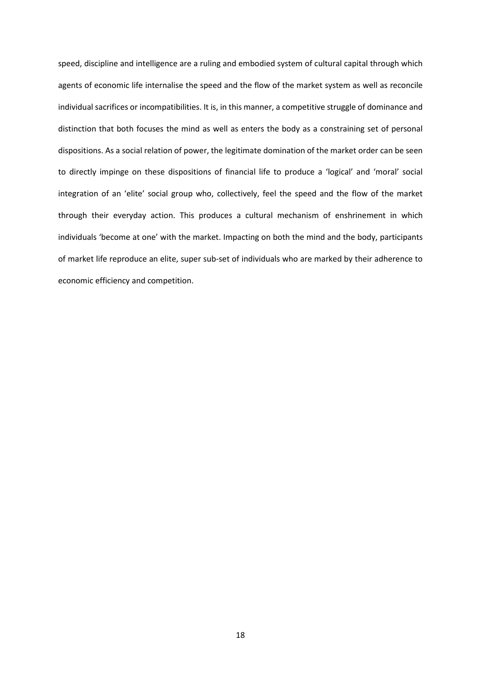speed, discipline and intelligence are a ruling and embodied system of cultural capital through which agents of economic life internalise the speed and the flow of the market system as well as reconcile individual sacrifices or incompatibilities. It is, in this manner, a competitive struggle of dominance and distinction that both focuses the mind as well as enters the body as a constraining set of personal dispositions. As a social relation of power, the legitimate domination of the market order can be seen to directly impinge on these dispositions of financial life to produce a 'logical' and 'moral' social integration of an 'elite' social group who, collectively, feel the speed and the flow of the market through their everyday action. This produces a cultural mechanism of enshrinement in which individuals 'become at one' with the market. Impacting on both the mind and the body, participants of market life reproduce an elite, super sub-set of individuals who are marked by their adherence to economic efficiency and competition.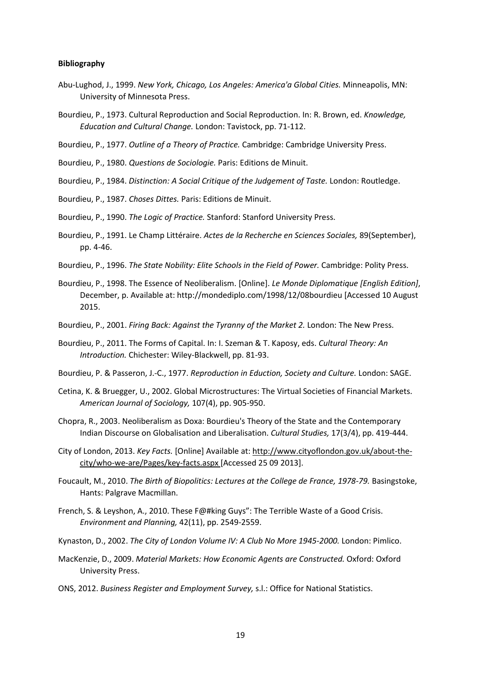### **Bibliography**

- Abu-Lughod, J., 1999. *New York, Chicago, Los Angeles: America'a Global Cities.* Minneapolis, MN: University of Minnesota Press.
- Bourdieu, P., 1973. Cultural Reproduction and Social Reproduction. In: R. Brown, ed. *Knowledge, Education and Cultural Change.* London: Tavistock, pp. 71-112.
- Bourdieu, P., 1977. *Outline of a Theory of Practice.* Cambridge: Cambridge University Press.
- Bourdieu, P., 1980. *Questions de Sociologie.* Paris: Editions de Minuit.
- Bourdieu, P., 1984. *Distinction: A Social Critique of the Judgement of Taste.* London: Routledge.
- Bourdieu, P., 1987. *Choses Dittes.* Paris: Editions de Minuit.
- Bourdieu, P., 1990. *The Logic of Practice.* Stanford: Stanford University Press.
- Bourdieu, P., 1991. Le Champ Littéraire. *Actes de la Recherche en Sciences Sociales,* 89(September), pp. 4-46.
- Bourdieu, P., 1996. *The State Nobility: Elite Schools in the Field of Power.* Cambridge: Polity Press.
- Bourdieu, P., 1998. The Essence of Neoliberalism. [Online]. *Le Monde Diplomatique [English Edition]*, December, p. Available at: http://mondediplo.com/1998/12/08bourdieu [Accessed 10 August 2015.
- Bourdieu, P., 2001. *Firing Back: Against the Tyranny of the Market 2.* London: The New Press.
- Bourdieu, P., 2011. The Forms of Capital. In: I. Szeman & T. Kaposy, eds. *Cultural Theory: An Introduction.* Chichester: Wiley-Blackwell, pp. 81-93.
- Bourdieu, P. & Passeron, J.-C., 1977. *Reproduction in Eduction, Society and Culture.* London: SAGE.
- Cetina, K. & Bruegger, U., 2002. Global Microstructures: The Virtual Societies of Financial Markets. *American Journal of Sociology,* 107(4), pp. 905-950.
- Chopra, R., 2003. Neoliberalism as Doxa: Bourdieu's Theory of the State and the Contemporary Indian Discourse on Globalisation and Liberalisation. *Cultural Studies,* 17(3/4), pp. 419-444.
- City of London, 2013. *Key Facts.* [Online] Available at: http://www.cityoflondon.gov.uk/about-thecity/who-we-are/Pages/key-facts.aspx [Accessed 25 09 2013].
- Foucault, M., 2010. *The Birth of Biopolitics: Lectures at the College de France, 1978-79.* Basingstoke, Hants: Palgrave Macmillan.
- French, S. & Leyshon, A., 2010. These F@#king Guys": The Terrible Waste of a Good Crisis. *Environment and Planning,* 42(11), pp. 2549-2559.
- Kynaston, D., 2002. *The City of London Volume IV: A Club No More 1945-2000.* London: Pimlico.
- MacKenzie, D., 2009. *Material Markets: How Economic Agents are Constructed.* Oxford: Oxford University Press.
- ONS, 2012. *Business Register and Employment Survey,* s.l.: Office for National Statistics.